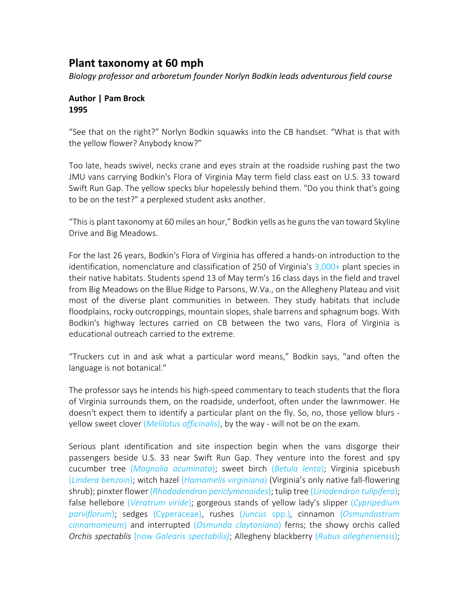## **Plant taxonomy at 60 mph**

*Biology professor and arboretum founder Norlyn Bodkin leads adventurous field course* 

## **Author | Pam Brock 1995**

"See that on the right?" Norlyn Bodkin squawks into the CB handset. "What is that with the yellow flower? Anybody know?"

Too late, heads swivel, necks crane and eyes strain at the roadside rushing past the two JMU vans carrying Bodkin's Flora of Virginia May term field class east on U.S. 33 toward Swift Run Gap. The yellow specks blur hopelessly behind them. "Do you think that's going to be on the test?" a perplexed student asks another.

"This is plant taxonomy at 60 miles an hour," Bodkin yells as he guns the van toward Skyline Drive and Big Meadows.

For the last 26 years, Bodkin's Flora of Virginia has offered a hands-on introduction to the identification, nomenclature and classification of 250 of Virginia's 3,000+ plant species in their native habitats. Students spend 13 of May term's 16 class days in the field and travel from Big Meadows on the Blue Ridge to Parsons, W.Va., on the Allegheny Plateau and visit most of the diverse plant communities in between. They study habitats that include floodplains, rocky outcroppings, mountain slopes, shale barrens and sphagnum bogs. With Bodkin's highway lectures carried on CB between the two vans, Flora of Virginia is educational outreach carried to the extreme.

"Truckers cut in and ask what a particular word means," Bodkin says, "and often the language is not botanical."

The professor says he intends his high-speed commentary to teach students that the flora of Virginia surrounds them, on the roadside, underfoot, often under the lawnmower. He doesn't expect them to identify a particular plant on the fly. So, no, those yellow blurs yellow sweet clover (*Melilotus officinalis*), by the way - will not be on the exam.

Serious plant identification and site inspection begin when the vans disgorge their passengers beside U.S. 33 near Swift Run Gap. They venture into the forest and spy cucumber tree (*Magnolia acuminata*); sweet birch (*Betula lenta*); Virginia spicebush (*Lindera benzoin*); witch hazel (*Hamamelis virginiana*) (Virginia's only native fall-flowering shrub); pinxter flower (*Rhododendron periclymenoides*); tulip tree (*Liriodendron tulipifera*); false hellebore (*Veratrum viride*); gorgeous stands of yellow lady's slipper (*Cypripedium parviflorum*); sedges (Cyperaceae), rushes (*Juncus* spp.), cinnamon (*Osmundastrum cinnamomeum*) and interrupted (*Osmunda claytoniana*) ferns; the showy orchis called *Orchis spectablis* [now *Galearis spectabilis]*; Allegheny blackberry (*Rubus allegheniensis*);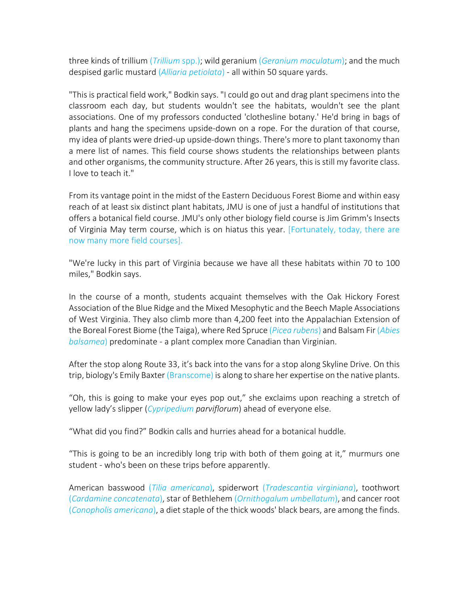three kinds of trillium (*Trillium* spp.); wild geranium (*Geranium maculatum*); and the much despised garlic mustard (*Alliaria petiolata*) - all within 50 square yards.

"This is practical field work," Bodkin says. "I could go out and drag plant specimens into the classroom each day, but students wouldn't see the habitats, wouldn't see the plant associations. One of my professors conducted 'clothesline botany.' He'd bring in bags of plants and hang the specimens upside-down on a rope. For the duration of that course, my idea of plants were dried-up upside-down things. There's more to plant taxonomy than a mere list of names. This field course shows students the relationships between plants and other organisms, the community structure. After 26 years, this is still my favorite class. I love to teach it."

From its vantage point in the midst of the Eastern Deciduous Forest Biome and within easy reach of at least six distinct plant habitats, JMU is one of just a handful of institutions that offers a botanical field course. JMU's only other biology field course is Jim Grimm's Insects of Virginia May term course, which is on hiatus this year. [Fortunately, today, there are now many more field courses].

"We're lucky in this part of Virginia because we have all these habitats within 70 to 100 miles," Bodkin says.

In the course of a month, students acquaint themselves with the Oak Hickory Forest Association of the Blue Ridge and the Mixed Mesophytic and the Beech Maple Associations of West Virginia. They also climb more than 4,200 feet into the Appalachian Extension of the Boreal Forest Biome (the Taiga), where Red Spruce (*Picea rubens*) and Balsam Fir (*Abies balsamea*) predominate - a plant complex more Canadian than Virginian.

After the stop along Route 33, it's back into the vans for a stop along Skyline Drive. On this trip, biology's Emily Baxter (Branscome) is along to share her expertise on the native plants.

"Oh, this is going to make your eyes pop out," she exclaims upon reaching a stretch of yellow lady's slipper (*Cypripedium parviflorum*) ahead of everyone else.

"What did you find?" Bodkin calls and hurries ahead for a botanical huddle.

"This is going to be an incredibly long trip with both of them going at it," murmurs one student - who's been on these trips before apparently.

American basswood (*Tilia americana*), spiderwort (*Tradescantia virginiana*), toothwort (*Cardamine concatenata*), star of Bethlehem (*Ornithogalum umbellatum*), and cancer root (*Conopholis americana*), a diet staple of the thick woods' black bears, are among the finds.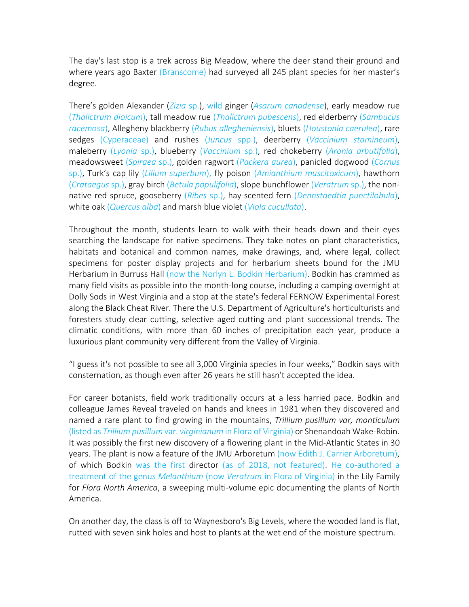The day's last stop is a trek across Big Meadow, where the deer stand their ground and where years ago Baxter (Branscome) had surveyed all 245 plant species for her master's degree.

There's golden Alexander (*Zizia* sp.), wild ginger (*Asarum canadense*), early meadow rue (*Thalictrum dioicum*), tall meadow rue (*Thalictrum pubescens*), red elderberry (*Sambucus racemosa*), Allegheny blackberry (*Rubus allegheniensis*), bluets (*Houstonia caerulea*), rare sedges (Cyperaceae) and rushes (*Juncus* spp.), deerberry (*Vaccinium stamineum*), maleberry (*Lyonia* sp.), blueberry (*Vaccinium* sp.), red chokeberry (*Aronia arbutifolia*), meadowsweet (*Spiraea* sp.), golden ragwort (*Packera aurea*), panicled dogwood (*Cornus* sp.), Turk's cap lily (*Lilium superbum*), fly poison (*Amianthium muscitoxicum*), hawthorn (*Crataegus* sp.), gray birch (*Betula populifolia*), slope bunchflower (*Veratrum* sp.), the nonnative red spruce, gooseberry (*Ribes* sp.), hay-scented fern (*Dennstaedtia punctilobula*), white oak (*Quercus alba*) and marsh blue violet (*Viola cucullata*).

Throughout the month, students learn to walk with their heads down and their eyes searching the landscape for native specimens. They take notes on plant characteristics, habitats and botanical and common names, make drawings, and, where legal, collect specimens for poster display projects and for herbarium sheets bound for the JMU Herbarium in Burruss Hall (now the Norlyn L. Bodkin Herbarium). Bodkin has crammed as many field visits as possible into the month-long course, including a camping overnight at Dolly Sods in West Virginia and a stop at the state's federal FERNOW Experimental Forest along the Black Cheat River. There the U.S. Department of Agriculture's horticulturists and foresters study clear cutting, selective aged cutting and plant successional trends. The climatic conditions, with more than 60 inches of precipitation each year, produce a luxurious plant community very different from the Valley of Virginia.

"I guess it's not possible to see all 3,000 Virginia species in four weeks," Bodkin says with consternation, as though even after 26 years he still hasn't accepted the idea.

For career botanists, field work traditionally occurs at a less harried pace. Bodkin and colleague James Reveal traveled on hands and knees in 1981 when they discovered and named a rare plant to find growing in the mountains, *Trillium pusillum var, monticulum* (listed as *Trillium pusillum* var. *virginianum* in Flora of Virginia) or Shenandoah Wake-Robin. It was possibly the first new discovery of a flowering plant in the Mid-Atlantic States in 30 years. The plant is now a feature of the JMU Arboretum (now Edith J. Carrier Arboretum), of which Bodkin was the first director (as of 2018, not featured). He co-authored a treatment of the genus *Melanthium* (now *Veratrum* in Flora of Virginia) in the Lily Family for *Flora North America*, a sweeping multi-volume epic documenting the plants of North America.

On another day, the class is off to Waynesboro's Big Levels, where the wooded land is flat, rutted with seven sink holes and host to plants at the wet end of the moisture spectrum.